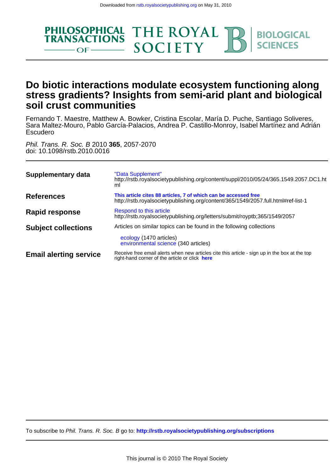

# **soil crust communities stress gradients? Insights from semi-arid plant and biological Do biotic interactions modulate ecosystem functioning along**

Escudero Sara Maltez-Mouro, Pablo García-Palacios, Andrea P. Castillo-Monroy, Isabel Martínez and Adrián Fernando T. Maestre, Matthew A. Bowker, Cristina Escolar, María D. Puche, Santiago Soliveres,

doi: 10.1098/rstb.2010.0016 Phil. Trans. R. Soc. B 2010 **365**, 2057-2070

| Supplementary data            | "Data Supplement"<br>http://rstb.royalsocietypublishing.org/content/suppl/2010/05/24/365.1549.2057.DC1.ht<br>ml                                      |
|-------------------------------|------------------------------------------------------------------------------------------------------------------------------------------------------|
| References                    | This article cites 88 articles, 7 of which can be accessed free<br>http://rstb.royalsocietypublishing.org/content/365/1549/2057.full.html#ref-list-1 |
| <b>Rapid response</b>         | Respond to this article<br>http://rstb.royalsocietypublishing.org/letters/submit/royptb;365/1549/2057                                                |
| <b>Subject collections</b>    | Articles on similar topics can be found in the following collections<br>ecology (1470 articles)<br>environmental science (340 articles)              |
| <b>Email alerting service</b> | Receive free email alerts when new articles cite this article - sign up in the box at the top<br>right-hand corner of the article or click here      |

To subscribe to Phil. Trans. R. Soc. B go to: **<http://rstb.royalsocietypublishing.org/subscriptions>**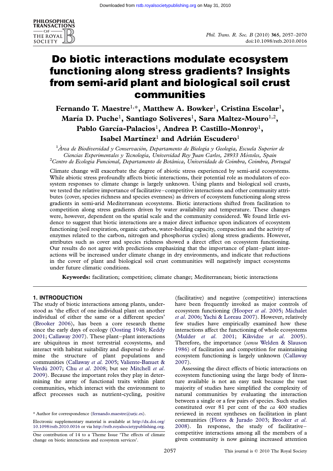

# Do biotic interactions modulate ecosystem functioning along stress gradients? Insights from semi-arid plant and biological soil crust communities

# Fernando T. Maestre<sup>1,\*</sup>, Matthew A. Bowker<sup>1</sup>, Cristina Escolar<sup>1</sup>, María D. Puche $^{\rm l}$ , Santiago Soliveres $^{\rm l}$ , Sara Maltez-Mouro $^{\rm l,2}$ , Pablo García-Palacios $^{\rm l}$ , Andrea P. Castillo-Monroy $^{\rm l}$ , Isabel Martínez<sup>1</sup> and Adrián Escudero<sup>1</sup>

 $^1$ Área de Biodiversidad y Conservación, Departamento de Biología y Geología, Escuela Superior de Ciencias Experimentales y Tecnología, Universidad Rey Juan Carlos, 28933 Móstoles, Spain  ${}^{2}$ Centro de Ecologia Funcional, Departamento de Botânica, Universidade de Coimbra, Coimbra, Portugal

Climate change will exacerbate the degree of abiotic stress experienced by semi-arid ecosystems. While abiotic stress profoundly affects biotic interactions, their potential role as modulators of ecosystem responses to climate change is largely unknown. Using plants and biological soil crusts, we tested the relative importance of facilitative–competitive interactions and other community attributes (cover, species richness and species evenness) as drivers of ecosystem functioning along stress gradients in semi-arid Mediterranean ecosystems. Biotic interactions shifted from facilitation to competition along stress gradients driven by water availability and temperature. These changes were, however, dependent on the spatial scale and the community considered. We found little evidence to suggest that biotic interactions are a major direct influence upon indicators of ecosystem functioning (soil respiration, organic carbon, water-holding capacity, compaction and the activity of enzymes related to the carbon, nitrogen and phosphorus cycles) along stress gradients. However, attributes such as cover and species richness showed a direct effect on ecosystem functioning. Our results do not agree with predictions emphasizing that the importance of plant–plant interactions will be increased under climate change in dry environments, and indicate that reductions in the cover of plant and biological soil crust communities will negatively impact ecosystems under future climatic conditions.

Keywords: facilitation; competition; climate change; Mediterranean; biotic interactions

### 1. INTRODUCTION

The study of biotic interactions among plants, understood as 'the effect of one individual plant on another individual of either the same or a different species' ([Brooker 2006\)](#page-11-0), has been a core research theme since the early days of ecology ([Oosting 1948;](#page-13-0) [Keddy](#page-12-0) [2001](#page-12-0); [Callaway 2007](#page-11-0)). These plant–plant interactions are ubiquitous in most terrestrial ecosystems, and interact with habitat suitability and dispersal to determine the structure of plant populations and communities ([Callaway](#page-11-0) et al. 2005; [Valiente-Banuet &](#page-14-0) Verdú 2007; Chu et al[. 2008](#page-11-0); but see [Mitchell](#page-13-0) et al. [2009](#page-13-0)). Because the important roles they play in determining the array of functional traits within plant communities, which interact with the environment to affect processes such as nutrient-cycling, positive

Electronic supplementary material is available at [http://dx.doi.org/](http://dx.doi.org/10.1098/rstb.2010.0016) [10.1098/rstb.2010.0016](http://dx.doi.org/10.1098/rstb.2010.0016) or via [http://rstb.royalsocietypublishing.org.](http://rstb.royalsocietypublishing.org)

(facilitative) and negative (competitive) interactions have been frequently invoked as major controls of ecosystem functioning ([Hooper](#page-12-0) et al. 2005; [Michalet](#page-13-0) et al[. 2006](#page-13-0); [Yachi & Loreau 2007](#page-14-0)). However, relatively few studies have empirically examined how these interactions affect the functioning of whole ecosystems (Mulder et al[. 2001](#page-13-0); [Kikvidze](#page-12-0) et al. 2005). Therefore, the importance (sensu [Welden & Slauson](#page-14-0) [1986](#page-14-0)) of facilitation and competition for maintaining ecosystem functioning is largely unknown ([Callaway](#page-11-0) [2007](#page-11-0)).

Assessing the direct effects of biotic interactions on ecosystem functioning using the large body of literature available is not an easy task because the vast majority of studies have simplified the complexity of natural communities by evaluating the interaction between a single or a few pairs of species. Such studies constituted over 81 per cent of the ca 400 studies reviewed in recent syntheses on facilitation in plant communities [\(Flores & Jurado 2003;](#page-12-0) [Brooker](#page-11-0) et al. [2008](#page-11-0)). In response, the study of facilitative– competitive interactions among all the members of a given community is now gaining increased attention

<sup>\*</sup> Author for correspondence [\(fernando.maestre@urjc.es](mailto:fernando.maestre@urjc.es)).

One contribution of 14 to a Theme Issue 'The effects of climate change on biotic interactions and ecosystem services'.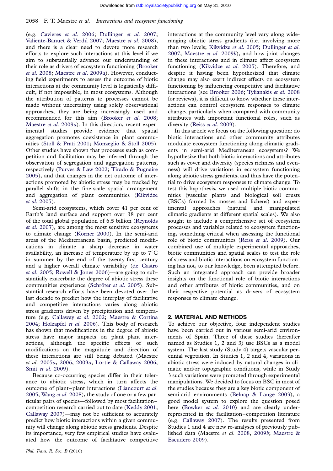(e.g. [Cavieres](#page-11-0) et al. 2006; [Dullinger](#page-12-0) et al. 2007; Valiente-Banuet & Verdú 2007; [Maestre](#page-13-0) et al. 2008), and there is a clear need to devote more research efforts to explore such interactions at this level if we aim to substantially advance our understanding of their role as drivers of ecosystem functioning [\(Brooker](#page-11-0) et al[. 2008](#page-11-0); [Maestre](#page-13-0) et al. 2009a). However, conducting field experiments to assess the outcome of biotic interactions at the community level is logistically difficult, if not impossible, in most ecosystems. Although the attribution of patterns to processes cannot be made without uncertainty using solely observational approaches, they are being increasingly used and recommended for this aim ([Brooker](#page-11-0) et al. 2008; [Maestre](#page-13-0) et al. 2009a). In this direction, recent experimental studies provide evidence that spatial aggregation promotes coexistence in plant communities [\(Stoll & Prati 2001](#page-13-0); [Monzeglio & Stoll 2005](#page-13-0)). Other studies have shown that processes such as competition and facilitation may be inferred through the observation of segregation and aggregation patterns, respectively ([Purves & Law 2002](#page-13-0); [Tirado & Pugnaire](#page-13-0) [2005](#page-13-0)), and that changes in the net outcome of interactions promoted by abiotic stress may be tracked by parallel shifts in the fine-scale spatial arrangement and aggregation of plant communities [\(Kikvidze](#page-12-0) et al[. 2005](#page-12-0)).

Semi-arid ecosystems, which cover 41 per cent of Earth's land surface and support over 38 per cent of the total global population of 6.5 billion [\(Reynolds](#page-13-0) et al[. 2007\)](#page-13-0), are among the most sensitive ecosystems to climate change (Körner 2000). In the semi-arid areas of the Mediterranean basin, predicted modifications in climate—a sharp decrease in water availability, an increase of temperature by up to  $7^{\circ}$ C in summer by the end of the twenty-first century and a higher overall climate variability ([de Castro](#page-12-0) et al[. 2005;](#page-12-0) [Rowell & Jones 2006\)](#page-13-0)—are going to substantially exacerbate the degree of abiotic stress these communities experience (Schröter et al. 2005). Substantial research efforts have been devoted over the last decade to predict how the interplay of facilitative and competitive interactions varies along abiotic stress gradients driven by precipitation and temperature (e.g. [Callaway](#page-11-0) et al. 2002; [Maestre & Cortina](#page-12-0) [2004](#page-12-0); [Holzapfel](#page-12-0) et al. 2006). This body of research has shown that modifications in the degree of abiotic stress have major impacts on plant–plant interactions, although the specific effects of such modifications on the magnitude and direction of these interactions are still being debated (Maestre et al. [2005](#page-12-0)a, [2006,](#page-13-0) [2009](#page-13-0)a; [Lortie & Callaway 2006](#page-12-0); Smit et al[. 2009](#page-13-0)).

Because co-occurring species differ in their tolerance to abiotic stress, which in turn affects the outcome of plant–plant interactions [\(Liancourt](#page-12-0) et al. [2005](#page-12-0); Wang et al[. 2008\)](#page-14-0), the study of one or a few particular pairs of species—followed by most facilitation– competition research carried out to date ([Keddy 2001](#page-12-0); [Callaway 2007\)](#page-11-0)—may not be sufficient to accurately predict how biotic interactions within a given community will change along abiotic stress gradients. Despite its importance, very few empirical studies have evaluated how the outcome of facilitative–competitive

interactions at the community level vary along wideranging abiotic stress gradients (i.e. involving more than two levels; [Kikvidze](#page-12-0) et al. 2005; [Dullinger](#page-12-0) et al. [2007](#page-12-0); [Maestre](#page-13-0) et al. 2009b), and how joint changes in these interactions and in climate affect ecosystem functioning ([Kikvidze](#page-12-0) et al. 2005). Therefore, and despite it having been hypothesized that climate change may also exert indirect effects on ecosystem functioning by influencing competitive and facilitative interactions (see [Brooker 2006;](#page-11-0) [Tylianakis](#page-14-0) et al. 2008 for reviews), it is difficult to know whether these interactions can control ecosystem responses to climate change, particularly when compared with community attributes with important functional roles, such as diversity (Reiss et al[. 2009\)](#page-13-0).

In this article we focus on the following question: do biotic interactions and other community attributes modulate ecosystem functioning along climatic gradients in semi-arid Mediterranean ecosystems? We hypothesize that both biotic interactions and attributes such as cover and diversity (species richness and evenness) will drive variations in ecosystem functioning along abiotic stress gradients, and thus have the potential to drive ecosystem responses to climate change. To test this hypothesis, we used multiple biotic communities (vascular plants and biological soil crusts (BSCs) formed by mosses and lichens) and experimental approaches (natural and manipulated climatic gradients at different spatial scales). We also sought to include a comprehensive set of ecosystem processes and variables related to ecosystem functioning, something critical when assessing the functional role of biotic communities (Reiss et al[. 2009\)](#page-13-0). Our combined use of multiple experimental approaches, biotic communities and spatial scales to test the role of stress and biotic interactions on ecosystem functioning has not, to our knowledge, been attempted before. Such an integrated approach can provide broader insights on the functional role of biotic interactions and other attributes of biotic communities, and on their respective potential as drivers of ecosystem responses to climate change.

#### 2. MATERIAL AND METHODS

To achieve our objective, four independent studies have been carried out in various semi-arid environments of Spain. Three of these studies (hereafter named as Studies 1, 2 and 3) use BSCs as a model system. The last study (Study 4) targets vascular perennial vegetation. In Studies 1, 2 and 4, variations in abiotic stress were induced by natural changes in climatic and/or topographic conditions, while in Study 3 such variations were promoted through experimental manipulations. We decided to focus on BSC in most of the studies because they are a key biotic component of semi-arid environments [\(Belnap & Lange 2003](#page-11-0)), a good model system to explore the question posed here [\(Bowker](#page-11-0) et al. 2010) and are clearly underrepresented in the facilitation–competition literature (e.g. [Callaway 2007](#page-11-0)). The results presented from Studies 1 and 4 are new re-analyses of previously published data (Maestre et al. [2008,](#page-13-0) [2009](#page-13-0)b; [Maestre &](#page-12-0) [Escudero 2009](#page-12-0)).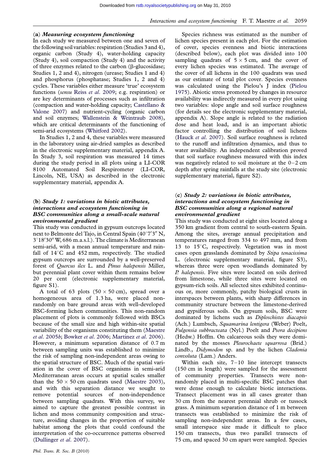#### (a) Measuring ecosystem functioning

In each study we measured between one and seven of the following soil variables: respiration (Studies 3 and 4), organic carbon (Study 4), water-holding capacity (Study 4), soil compaction (Study 4) and the activity of three enzymes related to the carbon ( $\beta$ -glucosidase; Studies 1, 2 and 4), nitrogen (urease; Studies 1 and 4) and phosphorus (phosphatase; Studies 1, 2 and 4) cycles. These variables either measure 'true' ecosystem functions (sensu Reiss et al[. 2009;](#page-13-0) e.g. respiration) or are key determinants of processes such as infiltration (compaction and water-holding capacity; [Castellano &](#page-11-0) [Valone 2007](#page-11-0)) and nutrient-cycling (organic carbon and soil enzymes; [Wallenstein & Weintraub 2008](#page-14-0)), which are critical determinants of the functioning of semi-arid ecosystems [\(Whitford 2002](#page-14-0)).

In Studies 1, 2 and 4, these variables were measured in the laboratory using air-dried samples as described in the electronic supplementary material, appendix A. In Study 3, soil respiration was measured 14 times during the study period in all plots using a LI-COR 8100 Automated Soil Respirometer (LI-COR, Lincoln, NE, USA) as described in the electronic supplementary material, appendix A.

# (b) Study 1: variations in biotic attributes, interactions and ecosystem functioning in BSC communities along a small-scale natural environmental gradient

This study was conducted in gypsum outcrops located next to Belmonte del Tajo, in Central Spain  $(40^{\circ}7'3''$  N, 3°18'30" W, 686 m.a.s.l.). The climate is Mediterranean semi-arid, with a mean annual temperature and rainfall of  $14^{\circ}$ C and  $452$  mm, respectively. The studied gypsum outcrops are surrounded by a well-preserved forest of Quercus ilex L. and Pinus halepensis Miller, but perennial plant cover within them remains below 20 per cent (electronic supplementary material, figure S1).

A total of 63 plots  $(50 \times 50 \text{ cm})$ , spread over a homogeneous area of 1.3 ha, were placed nonrandomly on bare ground areas with well-developed BSC-forming lichen communities. This non-random placement of plots is commonly followed with BSCs because of the small size and high within-site spatial variability of the organisms constituting them ([Maestre](#page-12-0) et al[. 2005](#page-12-0)b; [Bowker](#page-11-0) et al. 2006; Martínez et al. 2006). However, a minimum separation distance of 0.7 m between sampling units was established to minimize the risk of sampling non-independent areas owing to the spatial structure of BSC. Much of the spatial variation in the cover of BSC organisms in semi-arid Mediterranean areas occurs at spatial scales smaller than the  $50 \times 50$  cm quadrats used ([Maestre 2003](#page-12-0)), and with this separation distance we sought to remove potential sources of non-independence between sampling quadrats. With this survey, we aimed to capture the greatest possible contrast in lichen and moss community composition and structure, avoiding changes in the proportion of suitable habitat among the plots that could confound the interpretation of the co-occurrence patterns observed ([Dullinger](#page-12-0) et al. 2007).

Species richness was estimated as the number of lichen species present in each plot. For the estimation of cover, species evenness and biotic interactions (described below), each plot was divided into 100 sampling quadrats of  $5 \times 5$  cm, and the cover of every lichen species was estimated. The average of the cover of all lichens in the 100 quadrats was used as our estimate of total plot cover. Species evenness was calculated using the Pielou's J index [\(Pielou](#page-13-0) [1975](#page-13-0)). Abiotic stress promoted by changes in resource availability was indirectly measured in every plot using two variables: slope angle and soil surface roughness (for details see the electronic supplementary material, appendix A). Slope angle is related to the radiation dose and heat load, and is an important abiotic factor controlling the distribution of soil lichens ([Hauck](#page-12-0) et al. 2007). Soil surface roughness is related to the runoff and infiltration dynamics, and thus to water availability. An independent calibration proved that soil surface roughness measured with this index was negatively related to soil moisture at the  $0-2$  cm depth after spring rainfalls at the study site (electronic supplementary material, figure S2).

# (c) Study 2: variations in biotic attributes, interactions and ecosystem functioning in BSC communities along a regional natural environmental gradient

This study was conducted at eight sites located along a 350 km gradient from central to south-eastern Spain. Among the sites, average annual precipitation and temperatures ranged from 334 to 497 mm, and from 13 to  $15^{\circ}$ C, respectively. Vegetation was in most cases open grasslands dominated by Stipa tenacissima L. (electronic supplementary material, figure S3), whereas three were open woodlands dominated by P. halepensis. Five sites were located on soils derived from limestone, while three sites were located on gypsum-rich soils. All selected sites exhibited continuous or, more commonly, patchy biological crusts in interspaces between plants, with sharp differences in community structure between the limestone-derived and gypsiferous soils. On gypsum soils, BSC were dominated by lichens such as Diploschistes diacapsis (Ach.) Lumbsch, Squamarina lentigera (Weber) Poelt, Fulgensia subbracteata (Nyl.) Poelt and Psora decipiens (Hedw.) Hoffm. On calcareous soils they were dominated by the mosses *Pleurochaete squarrosa* (Brid.) Lindb., Didymodon sp. and by the lichen Cladonia convoluta (Lam.) Anders.

Within each site, 7-10 line intercept transects (150 cm in length) were sampled for the assessment of community properties. Transects were nonrandomly placed in multi-specific BSC patches that were dense enough to calculate biotic interactions. Transect placement was in all cases greater than 30 cm from the nearest perennial shrub or tussock grass. A minimum separation distance of 1 m between transects was established to minimize the risk of sampling non-independent areas. In a few cases, small interspace size made it difficult to place 150 cm transects, thus two parallel transects of 75 cm, and spaced 30 cm apart were sampled. Species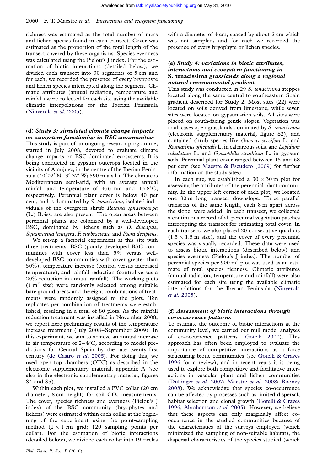richness was estimated as the total number of moss and lichen species found in each transect. Cover was estimated as the proportion of the total length of the transect covered by these organisms. Species evenness was calculated using the Pielou's J index. For the estimation of biotic interactions (detailed below), we divided each transect into 30 segments of 5 cm and for each, we recorded the presence of every bryophyte and lichen species intercepted along the segment. Climatic attributes (annual radiation, temperature and rainfall) were collected for each site using the available climatic interpolations for the Iberian Peninsula [\(Ninyerola](#page-13-0) et al. 2005).

# (d) Study 3: simulated climate change impacts on ecosystem functioning in BSC communities

This study is part of an ongoing research programme, started in July 2008, devoted to evaluate climate change impacts on BSC-dominated ecosystems. It is being conducted in gypsum outcrops located in the vicinity of Aranjuez, in the centre of the Iberian Peninsula  $(40^{\circ}02' N-3^{\circ} 37' W; 590 m.a.s.l.)$ . The climate is Mediterranean semi-arid, with an average annual rainfall and temperature of  $456$  mm and  $13.8^{\circ}$ C, respectively. Perennial plant cover is below 40 per cent, and is dominated by S. tenacissima; isolated individuals of the evergreen shrub Retama sphaerocarpa (L.) Boiss. are also present. The open areas between perennial plants are colonized by a well-developed BSC, dominated by lichens such as D. diacapsis, Squamarina lentigera, F. subbracteata and Psora decipiens.

We set-up a factorial experiment at this site with three treatments: BSC (poorly developed BSC communities with cover less than 5% versus welldeveloped BSC communities with cover greater than 50%); temperature increase (control versus increased temperature); and rainfall reduction (control versus a 20% reduction in annual rainfall). The working plots  $(1 \text{ m}^2 \text{ size})$  were randomly selected among suitable bare ground areas, and the eight combinations of treatments were randomly assigned to the plots. Ten replicates per combination of treatments were established, resulting in a total of 80 plots. As the rainfall reduction treatment was installed in November 2008, we report here preliminary results of the temperature increase treatment (July 2008–September 2009). In this experiment, we aim to achieve an annual increase in air temperature of  $2-4^{\circ}$ C, according to model predictions for Central Spain by the late twenty-first century ([de Castro](#page-12-0) et al. 2005). For doing this, we used open top chambers (OTC) as described in the electronic supplementary material, appendix A (see also in the electronic supplementary material, figures S4 and S5).

Within each plot, we installed a PVC collar (20 cm diameter, 8 cm height) for soil  $CO<sub>2</sub>$  measurements. The cover, species richness and evenness (Pielou's J index) of the BSC community (bryophytes and lichens) were estimated within each collar at the beginning of the experiment using the point-sampling method  $(1 \times 1$  cm grid; 120 sampling points per collar). For the estimation of biotic interactions (detailed below), we divided each collar into 19 circles

with a diameter of 4 cm, spaced by about 2 cm which was not sampled, and for each we recorded the presence of every bryophyte or lichen species.

# (e) Study 4: variations in biotic attributes, interactions and ecosystem functioning in S. tenacissima grasslands along a regional natural environmental gradient

This study was conducted in 29 S. tenacissima steppes located along the same central to southeastern Spain gradient described for Study 2. Most sites (22) were located on soils derived from limestone, while seven sites were located on gypsum-rich soils. All sites were placed on south-facing gentle slopes. Vegetation was in all cases open grasslands dominated by S. tenacissima (electronic supplementary material, figure S2), and contained shrub species like Quercus coccifera L. and Rosmarinus officinalis L. in calcareous soils, and Lepidium subulatum L. and Gypsophila struthium L. in gypsum soils. Perennial plant cover ranged between 15 and 68 per cent (see [Maestre & Escudero \(2009\)](#page-12-0) for further information on the study sites).

In each site, we established a  $30 \times 30$  m plot for assessing the attributes of the perennial plant community. In the upper left corner of each plot, we located one 30 m long transect downslope. Three parallel transects of the same length, each 8 m apart across the slope, were added. In each transect, we collected a continuous record of all perennial vegetation patches intercepting the transect for estimating total cover. In each transect, we also placed 20 consecutive quadrats  $(1.5 \times 1.5 \text{ m} \text{ size})$ , and the cover of every perennial species was visually recorded. These data were used to assess biotic interactions (described below) and species evenness (Pielou's J index). The number of perennial species per  $900 \text{ m}^2$  plot was used as an estimate of total species richness. Climatic attributes (annual radiation, temperature and rainfall) were also estimated for each site using the available climatic interpolations for the Iberian Peninsula ([Ninyerola](#page-13-0) et al[. 2005](#page-13-0)).

# (f) Assessment of biotic interactions through co-occurrence patterns

To estimate the outcome of biotic interactions at the community level, we carried out null model analyses of co-occurrence patterns [\(Gotelli 2000](#page-12-0)). This approach has often been employed to evaluate the importance of competitive interactions as a force structuring biotic communities (see [Gotelli & Graves](#page-12-0) [1996](#page-12-0) for a review), and in recent years it is being used to explore both competitive and facilitative interactions in vascular plant and lichen communities [\(Dullinger](#page-12-0) et al. 2007; [Maestre](#page-13-0) et al. 2008; [Rooney](#page-13-0) [2008](#page-13-0)). We acknowledge that species co-occurrence can be affected by processes such as limited dispersal, habitat selection and clonal growth [\(Gotelli & Graves](#page-12-0) [1996](#page-12-0); [Abrahamson](#page-11-0) et al. 2005). However, we believe that these aspects can only marginally affect cooccurrence in the studied communities because of the characteristics of the surveys employed (which minimized the sampling of non-suitable habitat), the dispersal characteristics of the species studied (which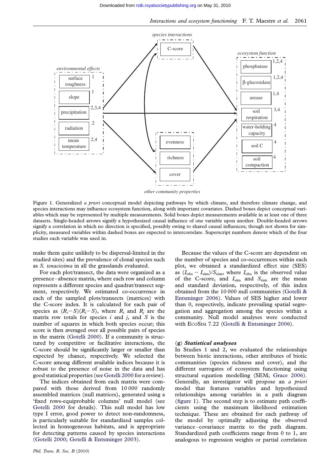<span id="page-5-0"></span>

Figure 1. Generalized a priori conceptual model depicting pathways by which climate, and therefore climate change, and species interactions may influence ecosystem function, along with important covariates. Dashed boxes depict conceptual variables which may be represented by multiple measurements. Solid boxes depict measurements available in at least one of three datasets. Single-headed arrows signify a hypothesized causal influence of one variable upon another. Double-headed arrows signify a correlation in which no direction is specified, possibly owing to shared causal influences; though not shown for simplicity, measured variables within dashed boxes are expected to intercorrelate. Superscript numbers denote which of the four studies each variable was used in.

make them quite unlikely to be dispersal-limited in the studied sites) and the prevalence of clonal species such as S. tenacissima in all the grasslands evaluated.

For each plot/transect, the data were organized as a presence–absence matrix, where each row and column represents a different species and quadrat/transect segment, respectively. We estimated co-occurrence in each of the sampled plots/transects (matrices) with the C-score index. It is calculated for each pair of species as  $(R_i-S)(R_i-S)$ , where  $R_i$  and  $R_j$  are the matrix row totals for species  $i$  and  $j$ , and  $S$  is the number of squares in which both species occur; this score is then averaged over all possible pairs of species in the matrix [\(Gotelli 2000](#page-12-0)). If a community is structured by competitive or facilitative interactions, the C-score should be significantly larger or smaller than expected by chance, respectively. We selected the C-score among different available indices because it is robust to the presence of noise in the data and has good statistical properties (see [Gotelli 2000](#page-12-0) for a review).

The indices obtained from each matrix were compared with those derived from 10 000 randomly assembled matrices (null matrices), generated using a 'fixed rows-equiprobable columns' null model (see [Gotelli 2000](#page-12-0) for details). This null model has low type I error, good power to detect non-randomness, is particularly suitable for standardized samples collected in homogeneous habitats, and is appropriate for detecting patterns caused by species interactions ([Gotelli 2000](#page-12-0); [Gotelli & Entsminger 2003](#page-12-0)).

Because the values of the C-score are dependent on the number of species and co-occurrences within each plot, we obtained a standardized effect size (SES) as  $(I_{\text{obs}} - I_{\text{sim}})/S_{\text{sim}}$ , where  $I_{\text{obs}}$  is the observed value of the C-score, and  $I_{sim}$  and  $S_{sim}$  are the mean and standard deviation, respectively, of this index obtained from the 10 000 null communities ([Gotelli &](#page-12-0) [Entsminger 2006](#page-12-0)). Values of SES higher and lower than 0, respectively, indicate prevailing spatial segregation and aggregation among the species within a community. Null model analyses were conducted with ECOSIM 7.22 ([Gotelli & Entsminger 2006\)](#page-12-0).

#### (g) Statistical analyses

In Studies 1 and 2, we evaluated the relationships between biotic interactions, other attributes of biotic communities (species richness and cover), and the different surrogates of ecosystem functioning using structural equation modelling (SEM; [Grace 2006](#page-12-0)). Generally, an investigator will propose an a priori model that features variables and hypothesized relationships among variables in a path diagram (figure 1). The second step is to estimate path coefficients using the maximum likelihood estimation technique. These are obtained for each pathway of the model by optimally adjusting the observed variance–covariance matrix to the path diagram. Standardized path coefficients range from 0 to 1, are analogous to regression weights or partial correlation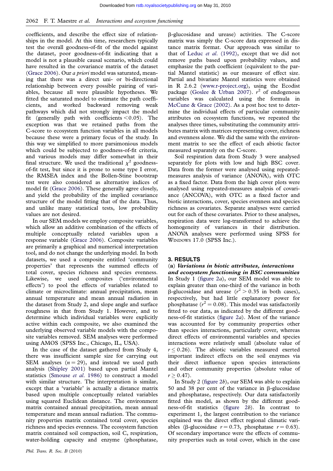coefficients, and describe the effect size of relationships in the model. At this time, researchers typically test the overall goodness-of-fit of the model against the dataset, poor goodness-of-fit indicating that a model is not a plausible causal scenario, which could have resulted in the covariance matrix of the dataset [\(Grace 2006\)](#page-12-0). Our a priori model was saturated, meaning that there was a direct uni- or bi-directional relationship between every possible pairing of variables, because all were plausible hypotheses. We fitted the saturated model to estimate the path coefficients, and worked backward removing weak pathways which did not strongly impact the model fit (generally path with coefficients  $< 0.05$ ). The exception was that we retained paths from the C-score to ecosystem function variables in all models because these were a primary focus of the study. In this way we simplified to more parsimonious models which could be subjected to goodness-of-fit criteria, and various models may differ somewhat in their final structure. We used the traditional  $\chi^2$  goodnessof-fit test, but since it is prone to some type I error, the RMSEA index and the Bollen-Stine bootstrap test were also considered as alternative indices of model fit ([Grace 2006\)](#page-12-0). These generally agree closely, and yield the probability of the implied covariance structure of the model fitting that of the data. Thus, and unlike many statistical tests, low probability values are not desired.

In our SEM models we employ composite variables, which allow an additive combination of the effects of multiple conceptually related variables upon a response variable ([Grace 2006](#page-12-0)). Composite variables are primarily a graphical and numerical interpretation tool, and do not change the underlying model. In both datasets, we used a composite entitled 'community properties' that represents the summed effects of total cover, species richness and species evenness. Likewise, we used composites ('environmental effects') to pool the effects of variables related to climate or microclimate: annual precipitation, mean annual temperature and mean annual radiation in the dataset from Study 2, and slope angle and surface roughness in that from Study 1. However, and to determine which individual variables were explicitly active within each composite, we also examined the underlying observed variable models with the composite variables removed. SEM analyses were performed using AMOS (SPSS Inc., Chicago, IL, USA).

In the case of the dataset gathered from Study 4, there was insufficient sample size for carrying out SEM analyses  $(n = 29)$ , and instead we used path analysis [\(Shipley 2001\)](#page-13-0) based upon partial Mantel statistics [\(Smouse](#page-13-0) et al. 1986) to construct a model with similar structure. The interpretation is similar, except that a 'variable' is actually a distance matrix based upon multiple conceptually related variables using squared Euclidean distance. The environment matrix contained annual precipitation, mean annual temperature and mean annual radiation. The community properties matrix contained total cover, species richness and species evenness. The ecosystem function matrix contained soil compaction, soil C, respiration, water-holding capacity and enzyme (phosphatase,

b-glucosidase and urease) activities. The C-score matrix was simply the C-score data expressed in distance matrix format. Our approach was similar to that of Leduc et al[. \(1992\)](#page-12-0), except that we did not remove paths based upon probability values, and emphasize the path coefficient (equivalent to the partial Mantel statistic) as our measure of effect size. Partial and bivariate Mantel statistics were obtained in R 2.6.2 [\(www.r-project.org](http://www.r-project.org)), using the Ecodist package ([Goslee & Urban 2007](#page-12-0)).  $r^2$  of endogenous variables was calculated using the formula in [McCune & Grace \(2002\).](#page-13-0) As a post hoc test to determine the individual effects of particular community attributes on ecosystem functions, we repeated the analyses three times, substituting the community attributes matrix with matrices representing cover, richness and evenness alone. We did the same with the environment matrix to see the effect of each abiotic factor measured separately on the C-score.

Soil respiration data from Study 3 were analysed separately for plots with low and high BSC cover. Data from the former were analysed using repeatedmeasures analysis of variance (ANOVA), with OTC as a fixed factor. Data from the high cover plots were analysed using repeated-measures analysis of covariance (ANCOVA), with OTC as a fixed factor and biotic interactions, cover, species evenness and species richness as covariates. Separate analyses were carried out for each of these covariates. Prior to these analyses, respiration data were log-transformed to achieve the homogeneity of variances in their distribution. ANOVA analyses were performed using SPSS for WINDOWS 17.0 (SPSS Inc.).

#### 3. RESULTS

# (a) Variations in biotic attributes, interactions

and ecosystem functioning in BSC communities In Study 1 [\(figure 2](#page-7-0)a), our SEM model was able to explain greater than one-third of the variance in both  $\beta$ -glucosidase and urease ( $r^2 > 0.35$  in both cases), respectively, but had little explanatory power for phosphatase ( $r^2 = 0.08$ ). This model was satisfactorily fitted to our data, as indicated by the different goodness-of-fit statistics [\(figure 2](#page-7-0)a). Most of the variance was accounted for by community properties other than species interactions, particularly cover, whereas direct effects of environmental variables and species interactions were relatively small (absolute value of  $r \leq 0.26$ ). The abiotic variables measured exerted important indirect effects on the soil enzymes via their direct influence upon species interactions and other community properties (absolute value of  $r > 0.47$ .

In Study 2 [\(figure 2](#page-7-0)b), our SEM was able to explain 50 and 38 per cent of the variance in  $\beta$ -glucosidase and phosphatase, respectively. Our data satisfactorily fitted this model, as shown by the different goodness-of-fit statistics ([figure 2](#page-7-0)b). In contrast to experiment 1, the largest contribution to the variance explained was the direct effect regional climatic variables ( $\beta$ -glucosidase  $r = 0.73$ , phosphatase  $r = 0.63$ ). Of secondary importance were the effects of community properties such as total cover, which in the case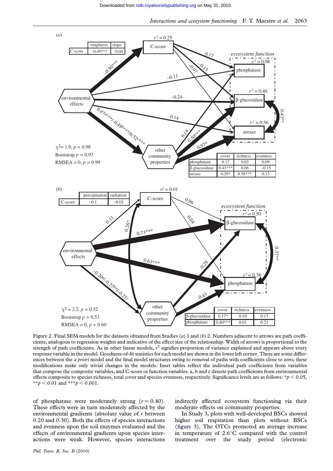<span id="page-7-0"></span>

Figure 2. Final SEM models for the datasets obtained from Studies (a) 1 and (b) 2. Numbers adjacent to arrows are path coefficients, analogous to regression weights and indicative of the effect size of the relationship. Width of arrows is proportional to the strength of path coefficients. As in other linear models,  $r^2$  signifies proportion of variance explained and appears above every response variable in the model. Goodness-of-fit statistics for each model are shown in the lower left corner. There are some differences between the *a priori* model and the final model structures owing to removal of paths with coefficients close to zero; these modifications make only trivial changes in the models. Inset tables reflect the individual path coefficients from variables that compose the composite variables, and C-score or function variables. a, b and c denote path coefficients from environmental effects composite to species richness, total cover and species evenness, respectively. Significance levels are as follows:  $*p < 0.05$ , \*\*p < 0.01 and \*\*\*p < 0.001.

of phosphatase were moderately strong  $(r = 0.40)$ . These effects were in turn moderately affected by the environmental gradients (absolute value of r between 0.20 and 0.30). Both the effects of species interactions and evenness upon the soil enzymes evaluated and the effects of environmental gradients upon species interactions were weak. However, species interactions

indirectly affected ecosystem functioning via their moderate effects on community properties.

In Study 3, plots with well-developed BSCs showed higher soil respiration than plots without BSCs ([figure 3\)](#page-8-0). The OTCs promoted an average increase in temperature of  $2.6^{\circ}$ C compared with the control treatment over the study period (electronic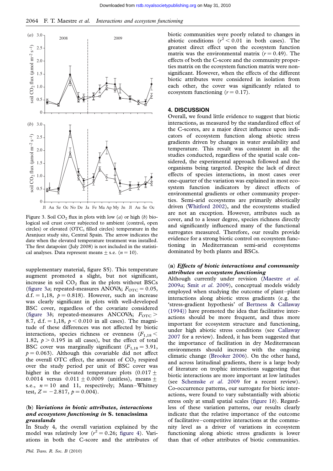<span id="page-8-0"></span>

Figure 3. Soil  $CO<sub>2</sub>$  flux in plots with low (a) or high (b) biological soil crust cover subjected to ambient (control, open circles) or elevated (OTC, filled circles) temperature in the Aranjuez study site, Central Spain. The arrow indicates the date when the elevated temperature treatment was installed. The first datapoint (July 2008) is not included in the statistical analyses. Data represent means  $\pm$  s.e. ( $n = 10$ ).

supplementary material, figure S5). This temperature augment promoted a slight, but not significant, increase in soil  $CO<sub>2</sub>$  flux in the plots without BSCs (figure 3a; repeated-measures ANOVA;  $F_{\text{OTC}} = 0.05$ , d.f. = 1,18,  $p = 0.818$ ). However, such an increase was clearly significant in plots with well-developed BSC cover, regardless of the covariate considered (figure 3b; repeated-measures ANCOVA;  $F_{\text{OTC}}$  > 8.7, d.f. = 1,18,  $p < 0.010$  in all cases). The magnitude of these differences was not affected by biotic interactions, species richness or evenness  $(F_{1,18} <$ 1.82,  $p > 0.195$  in all cases), but the effect of total BSC cover was marginally significant  $(F_{1,18} = 3.91,$  $p = 0.063$ . Although this covariable did not affect the overall OTC effect, the amount of  $CO<sub>2</sub>$  respired over the study period per unit of BSC cover was higher in the elevated temperature plots  $(0.017 +$ 0.0014 versus  $0.011 \pm 0.0009$  (unitless), means  $\pm$ s.e.,  $n = 10$  and 11, respectively; Mann–Whitney test,  $Z = -2.817$ ,  $p = 0.004$ .

#### (b) Variations in biotic attributes, interactions and ecosystem functioning in S. tenacissima grasslands

In Study 4, the overall variation explained by the model was relatively low  $(r^2 = 0.26$ ; [figure 4\)](#page-9-0). Variations in both the C-score and the attributes of biotic communities were poorly related to changes in abiotic conditions  $(r^2 < 0.01$  in both cases). The greatest direct effect upon the ecosystem function matrix was the environmental matrix  $(r = 0.49)$ . The effects of both the C-score and the community properties matrix on the ecosystem function matrix were nonsignificant. However, when the effects of the different biotic attributes were considered in isolation from each other, the cover was significantly related to ecosystem functioning  $(r = 0.17)$ .

# 4. DISCUSSION

Overall, we found little evidence to suggest that biotic interactions, as measured by the standardized effect of the C-scores, are a major direct influence upon indicators of ecosystem function along abiotic stress gradients driven by changes in water availability and temperature. This result was consistent in all the studies conducted, regardless of the spatial scale considered, the experimental approach followed and the organisms being targeted. Despite the lack of direct effects of species interactions, in most cases over one-quarter of the variation was explained in most ecosystem function indicators by direct effects of environmental gradients or other community properties. Semi-arid ecosystems are primarily abiotically driven ([Whitford 2002](#page-14-0)), and the ecosystems studied are not an exception. However, attributes such as cover, and to a lesser degree, species richness directly and significantly influenced many of the functional surrogates measured. Therefore, our results provide evidence for a strong biotic control on ecosystem functioning in Mediterranean semi-arid ecosystems dominated by both plants and BSCs.

#### (a) Effects of biotic interactions and community attributes on ecosystem functioning

Although currently under revision [\(Maestre](#page-13-0) et al. [2009](#page-13-0)a; Smit et al[. 2009](#page-13-0)), conceptual models widely employed when studying the outcome of plant–plant interactions along abiotic stress gradients (e.g. the 'stress-gradient hypothesis' of [Bertness & Callaway](#page-11-0) [\(1994\)\)](#page-11-0) have promoted the idea that facilitative interactions should be more frequent, and thus more important for ecosystem structure and functioning, under high abiotic stress conditions (see [Callaway](#page-11-0) [2007](#page-11-0) for a review). Indeed, it has been suggested that the importance of facilitation in dry Mediterranean environments should increase with the ongoing climatic change [\(Brooker 2006](#page-11-0)). On the other hand, and across latitudinal gradients, there is a large body of literature on trophic interactions suggesting that biotic interactions are more important at low latitudes (see [Schemske](#page-13-0) et al. 2009 for a recent review). Co-occurrence patterns, our surrogate for biotic interactions, were found to vary substantially with abiotic stress only at small spatial scales [\(figure 1](#page-5-0)b). Regardless of these variation patterns, our results clearly indicate that the relative importance of the outcome of facilitative–competitive interactions at the community level as a driver of variations in ecosystem functioning along abiotic stress gradients is lower than that of other attributes of biotic communities.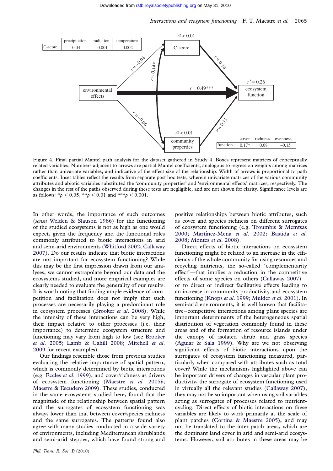<span id="page-9-0"></span>

Figure 4. Final partial Mantel path analysis for the dataset gathered in Study 4. Boxes represent matrices of conceptually related variables. Numbers adjacent to arrows are partial Mantel coefficients, analogous to regression weights among matrices rather than univariate variables, and indicative of the effect size of the relationship. Width of arrows is proportional to path coefficients. Inset tables reflect the results from separate post hoc tests, wherein univariate matrices of the various community attributes and abiotic variables substituted the 'community properties' and 'environmental effects' matrices, respectively. The changes in the rest of the paths observed during these tests are negligible, and are not shown for clarity. Significance levels are as follows:  $* p < 0.05$ ,  $* p < 0.01$  and  $* * p < 0.001$ .

In other words, the importance of such outcomes (sensu [Welden & Slauson 1986](#page-14-0)) for the functioning of the studied ecosystems is not as high as one would expect, given the frequency and the functional roles commonly attributed to biotic interactions in arid and semi-arid environments [\(Whitford 2002](#page-14-0); [Callaway](#page-11-0) [2007](#page-11-0)). Do our results indicate that biotic interactions are not important for ecosystem functioning? While this may be the first impression drawn from our analyses, we cannot extrapolate beyond our data and the ecosystems studied, and more empirical examples are clearly needed to evaluate the generality of our results. It is worth noting that finding ample evidence of competition and facilitation does not imply that such processes are necessarily playing a predominant role in ecosystem processes ([Brooker](#page-11-0) et al. 2008). While the intensity of these interactions can be very high, their impact relative to other processes (i.e. their importance) to determine ecosystem structure and functioning may vary from high to low (see [Brooker](#page-11-0) et al[. 2005;](#page-11-0) [Lamb & Cahill 2008;](#page-12-0) [Mitchell](#page-13-0) et al. [2009](#page-13-0) for recent examples).

Our findings resemble those from previous studies evaluating the relative importance of spatial pattern, which is commonly determined by biotic interactions (e.g. Eccles et al[. 1999](#page-12-0)), and cover/richness as drivers of ecosystem functioning [\(Maestre](#page-12-0) et al. 2005b; [Maestre & Escudero 2009\)](#page-12-0). These studies, conducted in the same ecosystems studied here, found that the magnitude of the relationship between spatial pattern and the surrogates of ecosystem functioning was always lower than that between cover/species richness and the same surrogates. The patterns found also agree with many studies conducted in a wide variety of environments, including Mediterranean shrublands and semi-arid steppes, which have found strong and positive relationships between biotic attributes, such as cover and species richness on different surrogates of ecosystem functioning (e.g. [Troumbis & Memtsas](#page-13-0) [2000](#page-13-0); Martínez-Mena et al. 2002; [Bastida](#page-11-0) et al. [2008](#page-11-0); Montès et al. 2008).

Direct effects of biotic interactions on ecosystem functioning might be related to an increase in the efficiency of the whole community for using resources and recycling nutrients, the so-called 'complementarity effect'—that implies a reduction in the competitive effects of some species on others ([Callaway 2007](#page-11-0)) or to direct or indirect facilitative effects leading to an increase in community productivity and ecosystem functioning [\(Knops](#page-12-0) et al. 1999; [Mulder](#page-13-0) et al. 2001). In semi-arid environments, it is well known that facilitative–competitive interactions among plant species are important determinants of the heterogeneous spatial distribution of vegetation commonly found in these areas and of the formation of resource islands under the canopy of isolated shrub and grass species ([Aguiar & Sala 1999](#page-11-0)). Why are we not observing significant effects of biotic interactions upon the surrogates of ecosystem functioning measured, particularly when compared with attributes such as total cover? While the mechanisms highlighted above can be important drivers of changes in vascular plant productivity, the surrogate of ecosystem functioning used in virtually all the relevant studies [\(Callaway 2007](#page-11-0)), they may not be so important when using soil variables acting as surrogates of processes related to nutrientcycling. Direct effects of biotic interactions on these variables are likely to work primarily at the scale of plant patches [\(Cortina & Maestre 2005](#page-11-0)), and may not be translated to the inter-patch areas, which are the dominant land cover in arid and semi-arid ecosystems. However, soil attributes in these areas may be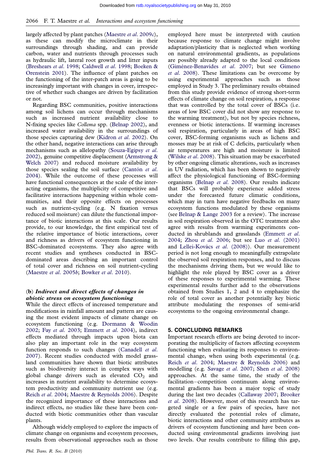largely affected by plant patches ([Maestre](#page-13-0) et al. 2009c), as these can modify the microclimate in their surroundings through shading, and can provide carbon, water and nutrients through processes such as hydraulic lift, lateral root growth and litter inputs [\(Breshears](#page-11-0) et al. 1998; [Caldwell](#page-11-0) et al. 1998; [Boeken &](#page-11-0) [Orenstein 2001](#page-11-0)). The influence of plant patches on the functioning of the inter-patch areas is going to be increasingly important with changes in cover, irrespective of whether such changes are driven by facilitation or not.

Regarding BSC communities, positive interactions among soil lichens can occur through mechanisms such as increased nutrient availability close to N-fixing species like Collema spp. ([Belnap 2002\)](#page-11-0), and increased water availability in the surroundings of those species capturing dew ([Kidron](#page-12-0) et al. 2002). On the other hand, negative interactions can arise through mechanisms such as allelopathy [\(Souza-Egipsy](#page-13-0) et al. [2002](#page-13-0)), genuine competitive displacement [\(Armstrong &](#page-11-0) [Welch 2007](#page-11-0)) and reduced moisture availability by those species sealing the soil surface (Cantón  $et$  al. [2004](#page-11-0)). While the outcome of these processes will have functional consequences at the scale of the interacting organisms, the multiplicity of competitive and facilitative interactions happening within whole communities, and their opposite effects on processes such as nutrient-cycling (e.g. N fixation versus reduced soil moisture) can dilute the functional importance of biotic interactions at this scale. Our results provide, to our knowledge, the first empirical test of the relative importance of biotic interactions, cover and richness as drivers of ecosystem functioning in BSC-dominated ecosystems. They also agree with recent studies and syntheses conducted in BSCdominated areas describing an important control of total cover and richness on soil nutrient-cycling [\(Maestre](#page-12-0) et al. 2005b; [Bowker](#page-11-0) et al. 2010).

### (b) Indirect and direct effects of changes in abiotic stress on ecosystem functioning

While the direct effects of increased temperature and modifications in rainfall amount and pattern are causing the most evident impacts of climate change on ecosystem functioning (e.g. [Dormann & Woodin](#page-12-0) [2002](#page-12-0); Fay et al[. 2003](#page-12-0); [Emmett](#page-12-0) et al. 2004), indirect effects mediated through impacts upon biota can also play an important role in the way ecosystem function responds to such changes [\(Canadell](#page-11-0) et al. [2007](#page-11-0)). Recent studies conducted with model grassland communities have shown that biotic attributes such as biodiversity interact in complex ways with global change drivers such as elevated  $CO<sub>2</sub>$  and increases in nutrient availability to determine ecosystem productivity and community nutrient use (e.g. Reich et al[. 2004](#page-13-0); [Maestre & Reynolds 2006](#page-12-0)). Despite the recognized importance of these interactions and indirect effects, no studies like these have been conducted with biotic communities other than vascular plants.

Although widely employed to explore the impacts of climate change on organisms and ecosystem processes, results from observational approaches such as those

employed here must be interpreted with caution because response to climate change might involve adaptation/plasticity that is neglected when working on natural environmental gradients, as populations are possibly already adapted to the local conditions (Giménez-Benavides et al. 2007; but see [Gimeno](#page-12-0) et al[. 2008\)](#page-12-0). These limitations can be overcome by using experimental approaches such as those employed in Study 3. The preliminary results obtained from this study provide evidence of strong short-term effects of climate change on soil respiration, a response that was controlled by the total cover of BSCs (i.e. areas of low BSC cover did not show any response to the warming treatment), but not by species richness, evenness or biotic interactions. If warming increases soil respiration, particularly in areas of high BSC cover, BSC-forming organisms such as lichens and mosses may be at risk of C deficits, particularly when air temperatures are high and moisture is limited [\(Wilske](#page-14-0) et al. 2008). This situation may be exacerbated by other ongoing climatic alterations, such as increases in UV radiation, which has been shown to negatively affect the physiological functioning of BSC-forming organisms ([Belnap](#page-11-0) et al. 2008). Our results indicate that BSCs will probably experience added stress under the forecasted future climatic conditions, which may in turn have negative feedbacks on many ecosystem functions modulated by these organisms (see [Belnap & Lange 2003](#page-11-0) for a review). The increase in soil respiration observed in the OTC treatment also agree with results from warming experiments conducted in shrublands and grasslands [\(Emmett](#page-12-0) et al. [2004](#page-12-0); Zhou et al[. 2006](#page-14-0); but see Luo et al[. \(2001\)](#page-12-0) and Lellei-Kovács et al. (2008)). Our measurement period is not long enough to meaningfully extrapolate the observed soil respiration responses, and to discuss the mechanisms driving them, but we would like to highlight the role played by BSC cover as a driver of these responses to experimental warming. These experimental results further add to the observations obtained from Studies 1, 2 and 4 to emphasize the role of total cover as another potentially key biotic attribute modulating the responses of semi-arid ecosystems to the ongoing environmental change.

#### 5. CONCLUDING REMARKS

Important research efforts are being devoted to incorporating the multiplicity of factors affecting ecosystem functioning when evaluating its responses to environmental change, when using both experimental (e.g. Reich et al[. 2004;](#page-13-0) [Maestre & Reynolds 2006\)](#page-12-0) and modelling (e.g. [Savage](#page-13-0) et al. 2007; Shen et al[. 2008](#page-13-0)) approaches. At the same time, the study of the facilitation–competition continuum along environmental gradients has been a major topic of study during the last two decades ([Callaway 2007;](#page-11-0) [Brooker](#page-11-0) et al[. 2008\)](#page-11-0). However, most of this research has targeted single or a few pairs of species, have not directly evaluated the potential roles of climate, biotic interactions and other community attributes as drivers of ecosystem functioning and have been conducted using environmental gradients involving just two levels. Our results contribute to filling this gap,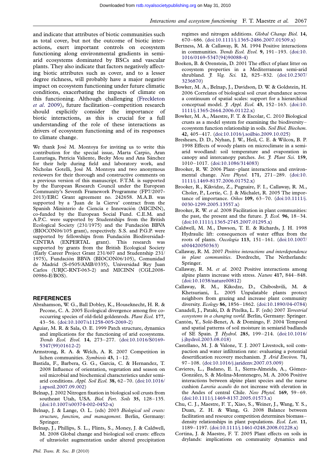<span id="page-11-0"></span>and indicate that attributes of biotic communities such as total cover, but not the outcome of biotic interactions, exert important controls on ecosystem functioning along environmental gradients in semiarid ecosystems dominated by BSCs and vascular plants. They also indicate that factors negatively affecting biotic attributes such as cover, and to a lesser degree richness, will probably have a major negative impact on ecosystem functioning under future climatic conditions, exacerbating the impacts of climate on this functioning. Although challenging [\(Freckleton](#page-12-0) et al[. 2009](#page-12-0)), future facilitation–competition research should explicitly consider the importance of biotic interactions, as this is crucial for a full understanding of the role of these interactions as drivers of ecosystem functioning and of its responses to climate change.

We thank José M. Montoya for inviting us to write this contribution for the special issue, Marta Carpio, Aran Luzuriaga, Patricia Valiente, Becky Mou and Ana Sánchez for their help during field and laboratory work, and Nicholas Gotelli, José M. Montoya and two anonymous reviewers for their thorough and constructive comments on a previous version of this manuscript. F.T.M. is supported by the European Research Council under the European Community's Seventh Framework Programme (FP7/2007- 2013)/ERC Grant agreement no. 242658. M.A.B. was supported by a 'Juan de la Cierva' contract from the Spanish Ministerio de Ciencia e Innovación (MICINN), co-funded by the European Social Fund. C.E.M. and A.P.C. were supported by Studentships from the British Ecological Society (231/1975) and the Fundación BBVA (BIOCON06/105 grant), respectively. S.S. and P.G.P. were supported by fellowships from Fundación Biodiversidad-CINTRA (EXPERTAL grant). This research was supported by grants from the British Ecological Society (Early Career Project Grant 231/607 and Studentship 231/ 1975), Fundación BBVA (BIOCON06/105), Comunidad de Madrid (S-0505/AMB/0335), Universidad Rey Juan Carlos (URJC-RNT-063-2) and MICINN (CGL2008- 00986-E/BOS).

#### **REFERENCES**

- Abrahamson, W. G., Ball Dobley, K., Houseknecht, H. R. & Pecone, C. A. 2005 Ecological divergence among five cooccurring species of old-field goldenrods. Plant Ecol. 177, 43–56. [\(doi:10.1007/s11258-005-2069-2](http://dx.doi.org/doi:10.1007/s11258-005-2069-2))
- Aguiar, M. R. & Sala, O. E. 1999 Patch structure, dynamics and implications for the functioning of arid ecosystems. Trends Ecol. Evol. 14, 273–277. ([doi:10.1016/S0169-](http://dx.doi.org/doi:10.1016/S0169-5347(99)01612-2) [5347\(99\)01612-2\)](http://dx.doi.org/doi:10.1016/S0169-5347(99)01612-2)
- Armstrong, R. A. & Welch, A. R. 2007 Competition in lichen communities. Symbiosis 43, 1–12.
- Bastida, F., Barbera, G. G., Garcia, C. & Hernandez, T. 2008 Influence of orientation, vegetation and season on soil microbial and biochemical characteristics under semiarid conditions. Appl. Soil Ecol. 38, 62–70. ([doi:10.1016/](http://dx.doi.org/doi:10.1016/j.apsoil.2007.09.002) [j.apsoil.2007.09.002](http://dx.doi.org/doi:10.1016/j.apsoil.2007.09.002))
- Belnap, J. 2002 Nitrogen fixation in biological soil crusts from southeast Utah, USA. Biol. Fert. Soils 35, 128-135. [\(doi:10.1007/s00374-002-0452-x\)](http://dx.doi.org/doi:10.1007/s00374-002-0452-x)
- Belnap, J. & Lange, O. L. (eds) 2003 Biological soil crusts: structure, function, and management. Berlin, Germany: Springer.
- Belnap, J., Phillips, S. L., Flints, S., Money, J. & Caldwell, M. 2008 Global change and biological soil crusts: effects of ultraviolet augmentation under altered precipitation

regimes and nitrogen additions. Global Change Biol. 14, 670–686. [\(doi:10.1111/j.1365-2486.2007.01509.x](http://dx.doi.org/doi:10.1111/j.1365-2486.2007.01509.x))

- Bertness, M. & Callaway, R. M. 1994 Positive interactions in communities. Trends Ecol. Evol. 9, 191-193. [\(doi:10.](http://dx.doi.org/doi:10.1016/0169-5347(94)90088-4) [1016/0169-5347\(94\)90088-4](http://dx.doi.org/doi:10.1016/0169-5347(94)90088-4))
- Boeken, B. & Orenstein, D. 2001 The effect of plant litter on ecosystem properties in a Mediterranean semi-arid shrubland. *J. Veg. Sci.* 12, 825-832. ([doi:10.2307/](http://dx.doi.org/doi:10.2307/3236870) [3236870\)](http://dx.doi.org/doi:10.2307/3236870)
- Bowker, M. A., Belnap, J., Davidson, D. W. & Goldstein, H. 2006 Correlates of biological soil crust abundance across a continuum of spatial scales: support for a hierarchical conceptual model.  $\hat{J}$ . Appl. Ecol. 43, 152-163. [\(doi:10.](http://dx.doi.org/doi:10.1111/j.1365-2664.2006.01122.x) [1111/j.1365-2664.2006.01122.x](http://dx.doi.org/doi:10.1111/j.1365-2664.2006.01122.x))
- Bowker, M. A., Maestre, F. T. & Escolar, C. 2010 Biological crusts as a model system for examining the biodiversity– ecosystem function relationship in soils. Soil Biol. Biochem. 42, 405–417. ([doi:10.1016/j.soilbio.2009.10.025\)](http://dx.doi.org/doi:10.1016/j.soilbio.2009.10.025)
- Breshears, D. D., Nyhan, J. W., Heil, C. E. & Wilcox, B. P. 1998 Effects of woody plants on microclimate in a semiarid woodland: soil temperature and evaporation in canopy and intercanopy patches. Int.  $\tilde{t}$ . Plant Sci. 159, 1010–1017. [\(doi:10.1086/314083\)](http://dx.doi.org/doi:10.1086/314083)
- Brooker, R. W. 2006 Plant–plant interactions and environmental change. New Phytol. 171, 271–289. [\(doi:10.](http://dx.doi.org/doi:10.1111/j.1469-8137.2006.01752.x) [1111/j.1469-8137.2006.01752.x](http://dx.doi.org/doi:10.1111/j.1469-8137.2006.01752.x))
- Brooker, R., Kikvidze, Z., Pugnaire, F. I., Callaway, R. M., Choler, P., Lortie, C. J. & Michalet, R. 2005 The importance of importance. Oikos 109, 63–70. [\(doi:10.1111/j.](http://dx.doi.org/doi:10.1111/j.0030-1299.2005.13557.x) [0030-1299.2005.13557.x](http://dx.doi.org/doi:10.1111/j.0030-1299.2005.13557.x))
- Brooker, R. W. et al. 2008 Facilitation in plant communities: the past, the present and the future.  $J. Ecol.$  96, 18-34. [\(doi:10.1111/j.1365-2745.2007.01295.x](http://dx.doi.org/doi:10.1111/j.1365-2745.2007.01295.x))
- Caldwell, M. M., Dawson, T. E. & Richards, J. H. 1998 Hydraulic lift: consequences of water efflux from the roots of plants. Oecologia 113, 151–161. ([doi:10.1007/](http://dx.doi.org/doi:10.1007/s004420050363) [s004420050363](http://dx.doi.org/doi:10.1007/s004420050363))
- Callaway, R. M. 2007 Positive interactions and interdependence in plant communities. Dordrecht, The Netherlands: Springer.
- Callaway, R. M. et al. 2002 Positive interactions among alpine plants increase with stress. Nature 417, 844–848. [\(doi:10.1038/nature00812](http://dx.doi.org/doi:10.1038/nature00812))
- Callaway, R. M., Kikodze, D., Chiboshvili, M. & Khetsuriani, L. 2005 Unpalatable plants protect neighbors from grazing and increase plant community diversity. Ecology 86, 1856–1862. [\(doi:10.1890/04-0784\)](http://dx.doi.org/doi:10.1890/04-0784)
- Canadell, J., Pataki, D. & Pitelka, L. F. (eds) 2007 Terrestrial ecosystems in a changing world. Berlin, Germany: Springer.
- Cantón, Y., Solé-Benet, A. & Domingo, F. 2004 Temporal and spatial patterns of soil moisture in semiarid badlands of SE Spain. *J. Hydrol.* 285, 199-214. ([doi:10.1016/](http://dx.doi.org/doi:10.1016/j.jhydrol.2003.08.018) [j.jhydrol.2003.08.018\)](http://dx.doi.org/doi:10.1016/j.jhydrol.2003.08.018)
- Castellano, M. J. & Valone, T. J. 2007 Livestock, soil compaction and water infiltration rate: evaluating a potential desertification recovery mechanism. J. Arid Environ. 71, 97–108. [\(doi:10.1016/j.jaridenv.2007.03.009](http://dx.doi.org/doi:10.1016/j.jaridenv.2007.03.009))
- Cavieres, L., Badano, E. I., Sierra-Almeida, A., Gómez-González, S. & Molina-Montenegro, M. A. 2006 Positive interactions between alpine plant species and the nurse cushion Laretia acaulis do not increase with elevation in the Andes of central Chile. New Phytol. 169, 59–69. [\(doi:10.1111/j.1469-8137.2005.01573.x](http://dx.doi.org/doi:10.1111/j.1469-8137.2005.01573.x))
- Chu, C. J., Maestre, F. T., Xiao, S., Weiner, J., Wang, Y. S., Duan, Z. H. & Wang, G. 2008 Balance between facilitation and resource competition determines biomass– density relationships in plant populations. Ecol. Lett. 11, 1189–1197. [\(doi:10.1111/j.1461-0248.2008.01228.x](http://dx.doi.org/doi:10.1111/j.1461-0248.2008.01228.x))
- Cortina, J. & Maestre, F. T. 2005 Plant effects on soils in drylands: implications on community dynamics and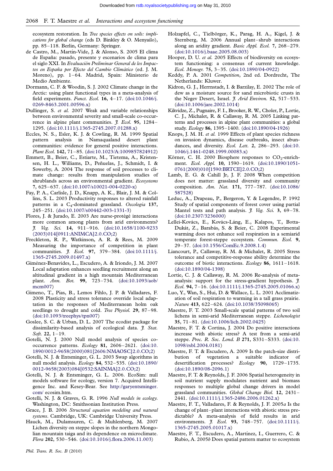<span id="page-12-0"></span>ecosystem restoration. In Tree species effects on soils: implications for global change (eds D. Binkley & O. Menyailo), pp. 85–118. Berlin, Germany: Springer.

- de Castro, M., Martín-Vide, J. & Alonso, S. 2005 El clima de España: pasado, presente y escenarios de clima para el siglo XXI. In Evaluación Preliminar General de los Impactos en España por Efecto del Cambio Climático (ed. J. M. Moreno), pp. 1–64. Madrid, Spain: Ministerio de Medio Ambiente.
- Dormann, C. F. & Woodin, S. J. 2002 Climate change in the Arctic: using plant functional types in a meta-analysis of field experiments. Funct. Ecol. 16, 4–17. [\(doi:10.1046/j.](http://dx.doi.org/doi:10.1046/j.0269-8463.2001.00596.x) [0269-8463.2001.00596.x](http://dx.doi.org/doi:10.1046/j.0269-8463.2001.00596.x))
- Dullinger, S. et al. 2007 Weak and variable relationships between environmental severity and small-scale co-occurrence in alpine plant communities. *J. Ecol.* 95, 1284– 1295. [\(doi:10.1111/j.1365-2745.2007.01288.x](http://dx.doi.org/doi:10.1111/j.1365-2745.2007.01288.x))
- Eccles, N. S., Esler, K. J. & Cowling, R. M. 1999 Spatial pattern analysis in Namaqualand desert plant communities: evidence for general positive interactions. Plant Ecol. 142, 71–85. [\(doi:10.1023/A:1009857824912\)](http://dx.doi.org/doi:10.1023/A:1009857824912)
- Emmett, B., Beier, C., Estiarte, M., Tietema, A., Kristensen, H. L., Williams, D., Peñuelas, J., Schmidt, I. & Sowerby, A. 2004 The response of soil processes to climate change: results from manipulation studies of shrublands across an environmental gradient. Ecosystems 7, 625–637. ([doi:10.1007/s10021-004-0220-x](http://dx.doi.org/doi:10.1007/s10021-004-0220-x))
- Fay, P. A., Carlisle, J. D., Knapp, A. K., Blair, J. M. & Collins, S. L. 2003 Productivity responses to altered rainfall patterns in a C<sub>4</sub>-dominated grassland. Oecologia 137, 245–251. [\(doi:10.1007/s00442-003-1331-3](http://dx.doi.org/doi:10.1007/s00442-003-1331-3))
- Flores, J. & Jurado, E. 2003 Are nurse-protégé interactions more common among plants from arid environments? J. Veg. Sci. 14, 911–916. [\(doi:10.1658/1100-9233](http://dx.doi.org/doi:10.1658/1100-9233(2003)014[0911:ANIMCA]2.0.CO;2) [\(2003\)014\[0911:ANIMCA\]2.0.CO;2](http://dx.doi.org/doi:10.1658/1100-9233(2003)014[0911:ANIMCA]2.0.CO;2))
- Freckleton, R. P., Watkinson, A. R. & Rees, M. 2009 Measuring the importance of competition in plant communities. *J. Ecol.* 97, 379-384. [\(doi:10.1111/j.](http://dx.doi.org/doi:10.1111/j.1365-2745.2009.01497.x) [1365-2745.2009.01497.x](http://dx.doi.org/doi:10.1111/j.1365-2745.2009.01497.x))
- Giménez-Benavides, L., Escudero, A. & Iriondo, J. M. 2007 Local adaptation enhances seedling recruitment along an altitudinal gradient in a high mountain Mediterranean plant. Ann. Bot. 99, 723–734. [\(doi:10.1093/aob/](http://dx.doi.org/doi:10.1093/aob/mcm007) [mcm007\)](http://dx.doi.org/doi:10.1093/aob/mcm007)
- Gimeno, T., Pías, B., Lemos Fihlo, J. P. & Valladares, F. 2008 Plasticity and stress tolerance override local adaptation in the responses of Mediterranean holm oak seedlings to drought and cold. Tree Physiol. 29, 87-98. ([doi:10.1093/treephys/tpn007\)](http://dx.doi.org/doi:10.1093/treephys/tpn007)
- Goslee, S. C. & Urban, D. L. 2007 The ecodist package for dissimilarity-based analysis of ecological data. *J. Stat.* Soft. 22, 1–19.
- Gotelli, N. J. 2000 Null model analysis of species cooccurrence patterns. Ecology 81, 2606–2621. ([doi:10.](http://dx.doi.org/doi:10.1890/0012-9658(2000)081[2606:NMAOSC]2.0.CO;2) [1890/0012-9658\(2000\)081\[2606:NMAOSC\]2.0.CO;2\)](http://dx.doi.org/doi:10.1890/0012-9658(2000)081[2606:NMAOSC]2.0.CO;2)
- Gotelli, N. J. & Entsminger, G. L. 2003 Swap algorithms in null model analysis. Ecology 84, 532–535. [\(doi:10.1890/](http://dx.doi.org/doi:10.1890/0012-9658(2003)084[0532:SAINMA]2.0.CO;2) [0012-9658\(2003\)084\[0532:SAINMA\]2.0.CO;2](http://dx.doi.org/doi:10.1890/0012-9658(2003)084[0532:SAINMA]2.0.CO;2))
- Gotelli, N. J. & Entsminger, G. L. 2006. EcoSim: null models software for ecology, version 7. Acquired Intelligence Inc. and Kesey-Bear. See [http://garyentsminger.](http://garyentsminger.com/) [com/](http://garyentsminger.com/) ecosim.htm.
- Gotelli, N. J. & Graves, G. R. 1996 Null models in ecology. Washington, DC: Smithsonian Institution Press.
- Grace, J. B. 2006 Structural equation modeling and natural systems. Cambridge, UK: Cambridge University Press.
- Hauck, M., Dulamsuren, C. & Muhlenberg, M. 2007 Lichen diversity on steppe slopes in the northern Mongolian mountain taiga and its dependence on microclimate. Flora 202, 530–546. ([doi:10.1016/j.flora.2006.11.003\)](http://dx.doi.org/doi:10.1016/j.flora.2006.11.003)
- Hooper, D. U. et al. 2005 Effects of biodiversity on ecosystem functioning: a consensus of current knowledge. Ecol. Monogr. 75, 3–35. [\(doi:10.1890/04-0922](http://dx.doi.org/doi:10.1890/04-0922))
- Keddy, P. A. 2001 Competition, 2nd ed. Dordrecht, The Netherlands: Kluwer.
- Kidron, G. J., Herrnstadt, I. & Barzilay, E. 2002 The role of dew as a moisture source for sand microbiotic crusts in the Negev Desert, Israel. J. Arid Environ. 52, 517-533. ([doi:10.1006/jare.2002.1014\)](http://dx.doi.org/doi:10.1006/jare.2002.1014)
- Kikvidze, Z., Pugnaire, F. I., Brooker, R. W., Choler, P., Lortie, C. J., Michalet, R. & Callaway, R. M. 2005 Linking patterns and processes in alpine plant communities: a global study. Ecology 86, 1395–1400. [\(doi:10.1890/04-1926\)](http://dx.doi.org/doi:10.1890/04-1926)
- Knops, J. M. H. et al. 1999 Effects of plant species richness on invasion dynamics, disease outbreaks, insect abundances, and diversity. Ecol. Lett. 2, 286-293. ([doi:10.](http://dx.doi.org/doi:10.1046/j.1461-0248.1999.00083.x) [1046/j.1461-0248.1999.00083.x\)](http://dx.doi.org/doi:10.1046/j.1461-0248.1999.00083.x)
- Körner, C. H. 2000 Biosphere responses to  $CO<sub>2</sub>$ -enrichment. Ecol. Appl. 10, 1590–1619. ([doi:10.1890/1051-](http://dx.doi.org/doi:10.1890/1051-0761(2000)010[1590:BRTCE]2.0.CO;2) [0761\(2000\)010\[1590:BRTCE\]2.0.CO;2](http://dx.doi.org/doi:10.1890/1051-0761(2000)010[1590:BRTCE]2.0.CO;2))
- Lamb, E. G. & Cahill Jr, J. F. 2008 When competition does not matter: grassland diversity and community composition. Am. Nat. 171, 777–787. [\(doi:10.1086/](http://dx.doi.org/doi:10.1086/587528) [587528](http://dx.doi.org/doi:10.1086/587528))
- Leduc, A., Drapeau, P., Bergeron, Y. & Legendre, P. 1992 Study of spatial components of forest cover using partial Mantel tests and path analysis.  $\tilde{f}$ . Veg. Sci. 3, 69-78. ([doi:10.2307/3236000\)](http://dx.doi.org/doi:10.2307/3236000)
- Lellei-Kovács, E., Kovács-Láng, E., Kalapos, T., Botta-Dukát, Z., Barabás, S. & Beier, C. 2008 Experimental warming does not enhance soil respiration in a semiarid temperate forest-steppe ecosystem. Commun. Ecol. 9, 29–37. ([doi:10.1556/ComEc.9.2008.1.4\)](http://dx.doi.org/doi:10.1556/ComEc.9.2008.1.4)
- Liancourt, P., Callaway, R. M. & Michalet, R. 2005 Stress tolerance and competitive-response ability determine the outcome of biotic interactions. Ecology 86, 1611–1618. ([doi:10.1890/04-1398\)](http://dx.doi.org/doi:10.1890/04-1398)
- Lortie, C. J. & Callaway, R. M. 2006 Re-analysis of metaanalysis: support for the stress-gradient hypothesis.  $\tilde{f}$ . Ecol. 94, 7–16. ([doi:10.1111/j.1365-2745.2005.01066.x\)](http://dx.doi.org/doi:10.1111/j.1365-2745.2005.01066.x)
- Luo, Y., Wan, S., Hui, D. & Wallace, L. L. 2001 Acclimatization of soil respiration to warming in a tall grass prairie. Nature 413, 622–624. ([doi:10.1038/35098065\)](http://dx.doi.org/doi:10.1038/35098065)
- Maestre, F. T. 2003 Small-scale spatial patterns of two soil lichens in semi-arid Mediterranean steppe. Lichenologist 35, 71–81. [\(doi:10.1006/lich.2002.0425\)](http://dx.doi.org/doi:10.1006/lich.2002.0425)
- Maestre, F. T. & Cortina, J. 2004 Do positive interactions increase with abiotic stress? A test from a semi-arid steppe. Proc. R. Soc. Lond. B 271, S331–S333. ([doi:10.](http://dx.doi.org/doi:10.1098/rsbl.2004.0181) [1098/rsbl.2004.0181](http://dx.doi.org/doi:10.1098/rsbl.2004.0181))
- Maestre, F. T. & Escudero, A. 2009 Is the patch-size distribution of vegetation a suitable indicator of desertification processes? Ecology 90, 1729–1735. ([doi:10.1890/08-2096.1](http://dx.doi.org/doi:10.1890/08-2096.1))
- Maestre, F. T. & Reynolds, J. F. 2006 Spatial heterogeneity in soil nutrient supply modulates nutrient and biomass responses to multiple global change drivers in model grassland communities. Global Change Biol. 12, 2431– 2441. [\(doi:10.1111/j.1365-2486.2006.01262.x](http://dx.doi.org/doi:10.1111/j.1365-2486.2006.01262.x))
- Maestre, F. T., Valladares, F. & Reynolds, J. F. 2005a Is the change of plant–plant interactions with abiotic stress predictable? A meta-analysis of field results in arid environments. *J. Ecol.* 93, 748-757. [\(doi:10.1111/j.](http://dx.doi.org/doi:10.1111/j.1365-2745.2005.01017.x) [1365-2745.2005.01017.x](http://dx.doi.org/doi:10.1111/j.1365-2745.2005.01017.x))
- Maestre, F. T., Escudero, A., Martínez, I., Guerrero, C. & Rubio, A. 2005b Does spatial pattern matter to ecosystem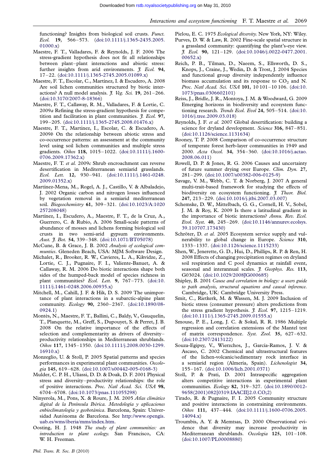<span id="page-13-0"></span>functioning? Insights from biological soil crusts. Funct. Ecol. 19, 566–573. ([doi:10.1111/j.1365-2435.2005.](http://dx.doi.org/doi:10.1111/j.1365-2435.2005.01000.x) [01000.x\)](http://dx.doi.org/doi:10.1111/j.1365-2435.2005.01000.x)

- Maestre, F. T., Valladares, F. & Reynolds, J. F. 2006 The stress-gradient hypothesis does not fit all relationships between plant–plant interactions and abiotic stress: further insights from arid environments. *J. Ecol.* 94, 17–22. [\(doi:10.1111/j.1365-2745.2005.01089.x](http://dx.doi.org/doi:10.1111/j.1365-2745.2005.01089.x))
- Maestre, F. T., Escolar, C., Martínez, I. & Escudero, A. 2008 Are soil lichen communities structured by biotic interactions? A null model analysis.  $J. Veg. Sci. 19, 261-266$ . [\(doi:10.3170/2007-8-18366\)](http://dx.doi.org/doi:10.3170/2007-8-18366)
- Maestre, F. T., Callaway, R. M., Valladares, F. & Lortie, C. 2009a Refining the stress-gradient hypothesis for competition and facilitation in plant communities.  $\tilde{f}$ . Ecol. 97, 199–205. [\(doi:10.1111/j.1365-2745.2008.01476.x](http://dx.doi.org/doi:10.1111/j.1365-2745.2008.01476.x))
- Maestre, F. T., Martínez, I., Escolar, C. & Escudero, A. 2009b On the relationship between abiotic stress and co-occurrence patterns: an assessment at the community level using soil lichen communities and multiple stress gradients. Oikos 118, 1015–1022. ([doi:10.1111/j.1600-](http://dx.doi.org/doi:10.1111/j.1600-0706.2009.17362.x) [0706.2009.17362.x\)](http://dx.doi.org/doi:10.1111/j.1600-0706.2009.17362.x)
- Maestre, F. T. et al. 2009c Shrub encroachment can reverse desertification in Mediterranean semiarid grasslands. Ecol. Lett. 12, 930–941. [\(doi:10.1111/j.1461-0248.](http://dx.doi.org/doi:10.1111/j.1461-0248.2009.01352.x) [2009.01352.x](http://dx.doi.org/doi:10.1111/j.1461-0248.2009.01352.x))
- Martínez-Mena, M., Rogel, A. J., Castillo, V. & Albaladejo, J. 2002 Organic carbon and nitrogen losses influenced by vegetation removal in a semiarid mediterranean soil. Biogeochemistry 61, 309–321. [\(doi:10.1023/A:1020](http://dx.doi.org/doi:10.1023/A:1020257208048) [257208048\)](http://dx.doi.org/doi:10.1023/A:1020257208048)
- Martínez, I., Escudero, A., Maestre, F. T., de la Cruz, A., Guerrero, C. & Rubio, A. 2006 Small-scale patterns of abundance of mosses and lichens forming biological soil crusts in two semi-arid gypsum environments. Aust. J. Bot. 54, 339-348. [\(doi:10.1071/BT05078\)](http://dx.doi.org/doi:10.1071/BT05078)
- McCune, B. & Grace, J. B. 2002 Analysis of ecological communties. Gleneden Beach, USA: MJM Software Design.
- Michalet, R., Brooker, R. W., Cavieres, L. A., Kikvidze, Z., Lortie, C. J., Pugnaire, F. I., Valiente-Banuet, A. & Callaway, R. M. 2006 Do biotic interactions shape both sides of the humped-back model of species richness in plant communities? Ecol. Lett. 9, 767-773. [\(doi:10.](http://dx.doi.org/doi:10.1111/j.1461-0248.2006.00935.x) [1111/j.1461-0248.2006.00935.x](http://dx.doi.org/doi:10.1111/j.1461-0248.2006.00935.x))
- Mitchell, M., Cahill, J. F. & Hik, D. S. 2009 The unimportance of plant interactions in a subarctic-alpine plant community. Ecology 90, 2360–2367. ([doi:10.1890/08-](http://dx.doi.org/doi:10.1890/08-0924.1) [0924.1](http://dx.doi.org/doi:10.1890/08-0924.1))
- Montès, N., Maestre, F. T., Ballini, C., Baldy, V., Gauquelin, T., Planquette, M., Greff, S., Dupouyet, S. & Perret, J. B. 2008 On the relative importance of the effects of selection and complementarity as drivers of diversity– productivity relationships in Mediterranean shrublands. Oikos 117, 1345–1350. ([doi:10.1111/j.2008.0030-1299.](http://dx.doi.org/doi:10.1111/j.2008.0030-1299.16910.x) [16910.x\)](http://dx.doi.org/doi:10.1111/j.2008.0030-1299.16910.x)
- Monzeglio, U. & Stoll, P. 2005 Spatial patterns and species performances in experimental plant communities. Oecologia 145, 619–628. [\(doi:10.1007/s00442-005-0168-3](http://dx.doi.org/doi:10.1007/s00442-005-0168-3))
- Mulder, C. P. H., Uliassi, D. D. & Doak, D. F. 2001 Physical stress and diversity–productivity relationships: the role of positive interactions. Proc. Natl Acad. Sci. USA 98, 6704–6708. [\(doi:10.1073/pnas.111055298](http://dx.doi.org/doi:10.1073/pnas.111055298))
- Ninyerola, M., Pons, X. & Roure, J. M. 2005 Atlas climático digital de la Península Ibérica. Metodología y aplicaciones enbioclimatología y geobotánica. Barcelona, Spain: Universidad Autónoma de Barcelona. See [http://www.opengis.](http://www.opengis.uab.es/wms/iberia/mms/index.htm) [uab.es/wms/iberia/mms/index.htm](http://www.opengis.uab.es/wms/iberia/mms/index.htm).
- Oosting, H. J. 1948 The study of plant communities: an introduction to plant ecology. San Francisco, CA: W. H. Freeman.
- Pielou, E. C. 1975 Ecological diversity. New York, NY: Wiley. Purves, D. W. & Law, R. 2002 Fine-scale spatial structure in a grassland community: quantifying the plant's-eye view. J. Ecol. 90, 121–129. ([doi:10.1046/j.0022-0477.2001.](http://dx.doi.org/doi:10.1046/j.0022-0477.2001.00652.x) [00652.x\)](http://dx.doi.org/doi:10.1046/j.0022-0477.2001.00652.x)
- Reich, P. B., Tilman, D., Naeem, S., Ellsworth, D. S., Knops, J., Craine, J., Wedin, D. & Trost, J. 2004 Species and functional group diversity independently influence biomass accumulation and its response to  $CO<sub>2</sub>$  and N. Proc. Natl Acad. Sci. USA 101, 10 101–10 106. [\(doi:10.](http://dx.doi.org/doi:10.1073/pnas.0306602101) [1073/pnas.0306602101\)](http://dx.doi.org/doi:10.1073/pnas.0306602101)
- Reiss, J., Bridle, J. R., Montoya, J. M. & Woodward, G. 2009 Emerging horizons in biodiversity and ecosystem func-tioning research. Trends Ecol. Evol 24, 505-514. [\(doi:10.](http://dx.doi.org/doi:10.1016/j.tree.2009.03.018) [1016/j.tree.2009.03.018\)](http://dx.doi.org/doi:10.1016/j.tree.2009.03.018)
- Reynolds, J. F. et al. 2007 Global desertification: building a science for dryland development. Science 316, 847-851. [\(doi:10.1126/science.1131634\)](http://dx.doi.org/doi:10.1126/science.1131634)
- Rooney, T. P. 2008 Comparison of co-occurrence structure of temperate forest herb-layer communities in 1949 and 2000. Acta Oecol. 34, 354–360. [\(doi:10.1016/j.actao.](http://dx.doi.org/doi:10.1016/j.actao.2008.06.011) [2008.06.011\)](http://dx.doi.org/doi:10.1016/j.actao.2008.06.011)
- Rowell, D. P. & Jones, R. G. 2006 Causes and uncertainty of future summer drying over Europe. Clim. Dyn. 27, 281–299. [\(doi:10.1007/s00382-006-0125-9](http://dx.doi.org/doi:10.1007/s00382-006-0125-9))
- Savage, V. M., Webb, C. T. & Norberg, J. 2007 A general multi-trait-based framework for studying the effects of biodiversity on ecosystem functioning. *J. Theor. Biol.* 247, 213–229. ([doi:10.1016/j.jtbi.2007.03.007](http://dx.doi.org/doi:10.1016/j.jtbi.2007.03.007))
- Schemske, D. W., Mittelbach, G. G., Cornell, H. V., Sobel, J. M. & Roy, K. 2009 Is there a latitudinal gradient in the importance of biotic interactions? Annu. Rev. Ecol. Evol. Syst. 40, 245–269. ([doi:10.1146/annurev.ecolsys.](http://dx.doi.org/doi:10.1146/annurev.ecolsys.39.110707.173430) [39.110707.173430\)](http://dx.doi.org/doi:10.1146/annurev.ecolsys.39.110707.173430)
- Schröter, D. et al. 2005 Ecosystem service supply and vulnerability to global change in Europe. Science 310, 1333–1337. [\(doi:10.1126/science.1115233](http://dx.doi.org/doi:10.1126/science.1115233))
- Shen, W., Jenerette, G. D., Hui, D., Phillips, R. P. & Ren, H. 2008 Effects of changing precipitation regimes on dryland soil respiration and C pool dynamics at rainfall event, seasonal and interannual scales. *J. Geophys. Res.* 113, G03024. [\(doi:10.1029/2008JG000685\)](http://dx.doi.org/doi:10.1029/2008JG000685)
- Shipley, B. 2001 Cause and correlation in biology: a users guide to path analysis, structural equations and causal inference. Cambridge, UK: Cambridge University Press.
- Smit, C., Rietkerk, M. & Wassen, M. J. 2009 Inclusion of biotic stress (consumer pressure) alters predictions from the stress gradient hypothesis. *J. Ecol.* 97, 1215-1219. [\(doi:10.1111/j.1365-2745.2009.01555.x](http://dx.doi.org/doi:10.1111/j.1365-2745.2009.01555.x))
- Smouse, P. E., Long, J. C. & Sokal, R. R. 1986 Multiple regression and correlation extensions of the Mantel test of matrix correspondence. Syst. Zool. 35, 627–632. [\(doi:10.2307/2413122](http://dx.doi.org/doi:10.2307/2413122))
- Souza-Egipsy, V., Wierzchos, J., García-Ramos, J. V. & Ascaso, C. 2002 Chemical and ultrastructural features of the lichen-volcanic/sedimentary rock interface in a semiarid region (Almería, Spain). Lichenologist 34, 155–167. [\(doi:10.1006/lich.2001.0371](http://dx.doi.org/doi:10.1006/lich.2001.0371))
- Stoll, P. & Prati, D. 2001 Intraspecific aggregation alters competitive interactions in experimental plant communities. Ecology 82, 319–327. ([doi:10.1890/0012-](http://dx.doi.org/doi:10.1890/0012-9658(2001)082[0319:IAACII]2.0.CO;2) [9658\(2001\)082\[0319:IAACII\]2.0.CO;2](http://dx.doi.org/doi:10.1890/0012-9658(2001)082[0319:IAACII]2.0.CO;2))
- Tirado, R. & Pugnaire, F. I. 2005 Community structure and positive interactions in constraining environments. Oikos 111, 437–444. ([doi:10.1111/j.1600-0706.2005.](http://dx.doi.org/doi:10.1111/j.1600-0706.2005.14094.x) [14094.x\)](http://dx.doi.org/doi:10.1111/j.1600-0706.2005.14094.x)
- Troumbis, A. Y. & Memtsas, D. 2000 Observational evidence that diversity may increase productivity in Mediterranean shrublands. Oecologia 125, 101–108. [\(doi:10.1007/PL00008880](http://dx.doi.org/doi:10.1007/PL00008880))